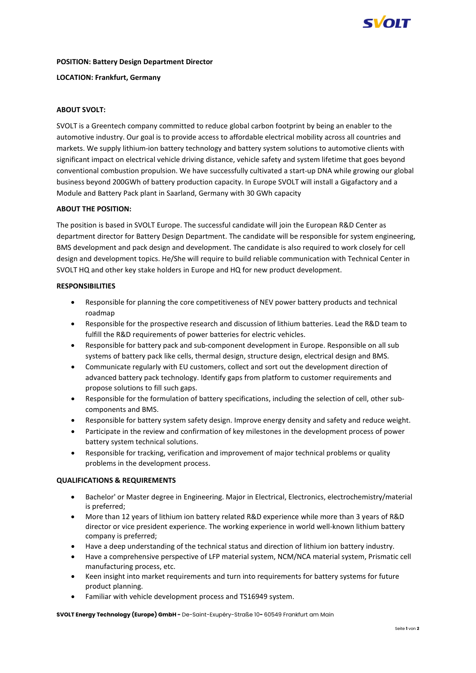

### **POSITION: Battery Design Department Director**

### **LOCATION: Frankfurt, Germany**

# **ABOUT SVOLT:**

SVOLT is a Greentech company committed to reduce global carbon footprint by being an enabler to the automotive industry. Our goal is to provide access to affordable electrical mobility across all countries and markets. We supply lithium-ion battery technology and battery system solutions to automotive clients with significant impact on electrical vehicle driving distance, vehicle safety and system lifetime that goes beyond conventional combustion propulsion. We have successfully cultivated a start-up DNA while growing our global business beyond 200GWh of battery production capacity. In Europe SVOLT will install a Gigafactory and a Module and Battery Pack plant in Saarland, Germany with 30 GWh capacity

# **ABOUT THE POSITION:**

The position is based in SVOLT Europe. The successful candidate will join the European R&D Center as department director for Battery Design Department. The candidate will be responsible for system engineering, BMS development and pack design and development. The candidate is also required to work closely for cell design and development topics. He/She will require to build reliable communication with Technical Center in SVOLT HQ and other key stake holders in Europe and HQ for new product development.

# **RESPONSIBILITIES**

- Responsible for planning the core competitiveness of NEV power battery products and technical roadmap
- Responsible for the prospective research and discussion of lithium batteries. Lead the R&D team to fulfill the R&D requirements of power batteries for electric vehicles.
- Responsible for battery pack and sub-component development in Europe. Responsible on all sub systems of battery pack like cells, thermal design, structure design, electrical design and BMS.
- Communicate regularly with EU customers, collect and sort out the development direction of advanced battery pack technology. Identify gaps from platform to customer requirements and propose solutions to fill such gaps.
- Responsible for the formulation of battery specifications, including the selection of cell, other subcomponents and BMS.
- Responsible for battery system safety design. Improve energy density and safety and reduce weight.
- Participate in the review and confirmation of key milestones in the development process of power battery system technical solutions.
- Responsible for tracking, verification and improvement of major technical problems or quality problems in the development process.

#### **QUALIFICATIONS & REQUIREMENTS**

- Bachelor' or Master degree in Engineering. Major in Electrical, Electronics, electrochemistry/material is preferred;
- More than 12 years of lithium ion battery related R&D experience while more than 3 years of R&D director or vice president experience. The working experience in world well-known lithium battery company is preferred;
- Have a deep understanding of the technical status and direction of lithium ion battery industry.
- Have a comprehensive perspective of LFP material system, NCM/NCA material system, Prismatic cell manufacturing process, etc.
- Keen insight into market requirements and turn into requirements for battery systems for future product planning.
- Familiar with vehicle development process and TS16949 system.

**SVOLT Energy Technology (Europe) GmbH -** De-Saint-Exupéry-Straße 10**-** 60549 Frankfurt am Main